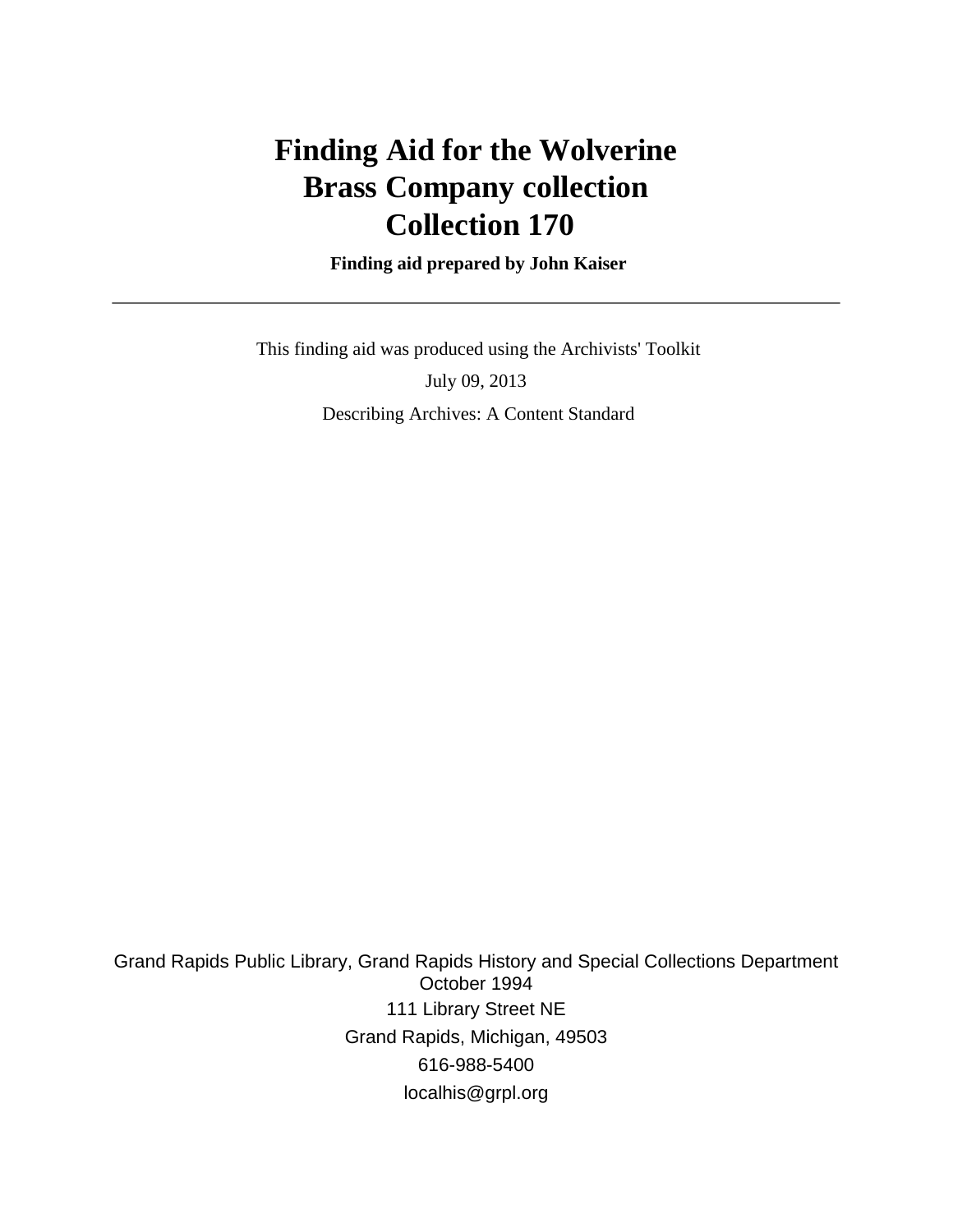# **Finding Aid for the Wolverine Brass Company collection Collection 170**

 **Finding aid prepared by John Kaiser**

 This finding aid was produced using the Archivists' Toolkit July 09, 2013 Describing Archives: A Content Standard

Grand Rapids Public Library, Grand Rapids History and Special Collections Department October 1994 111 Library Street NE Grand Rapids, Michigan, 49503 616-988-5400 localhis@grpl.org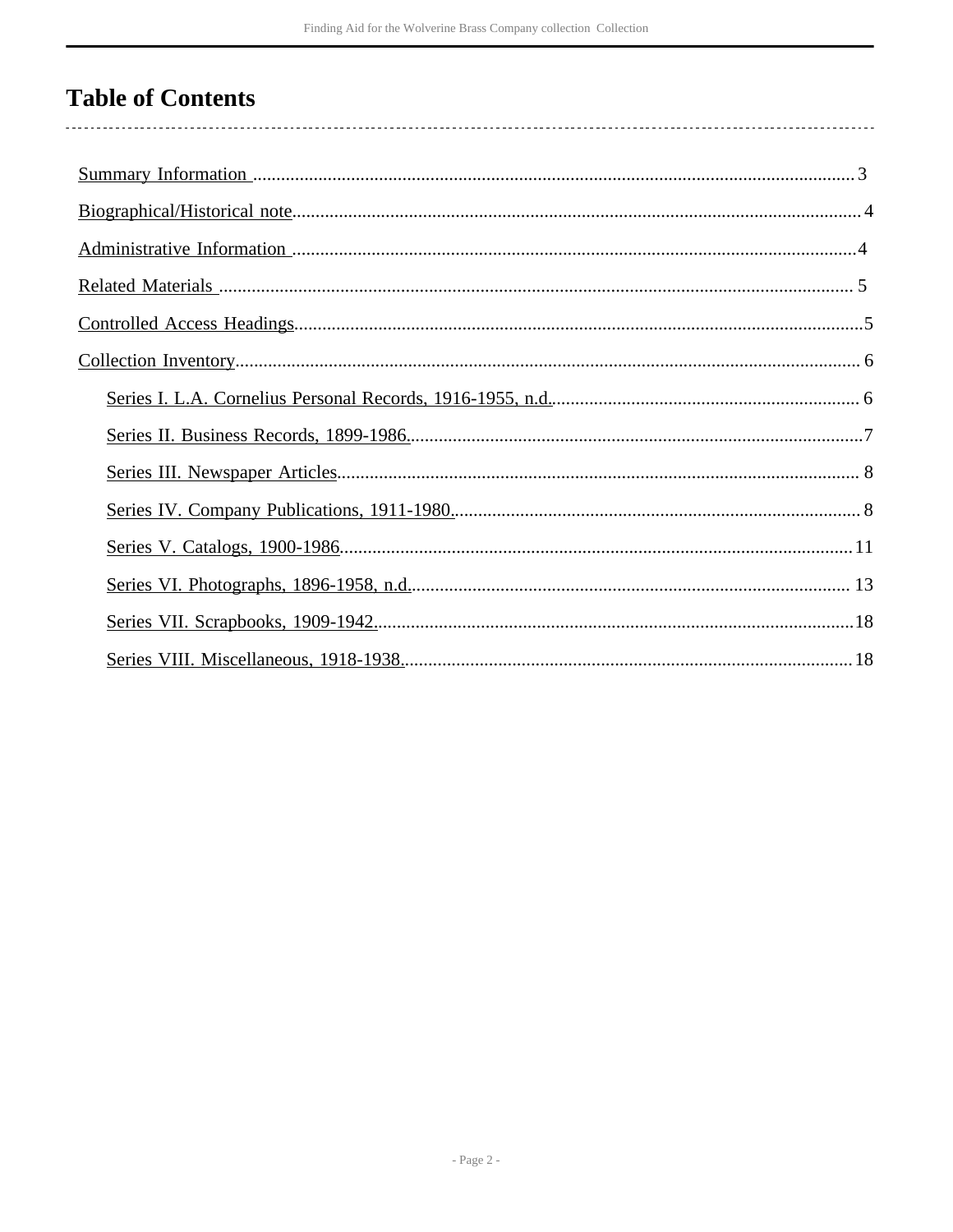# **Table of Contents**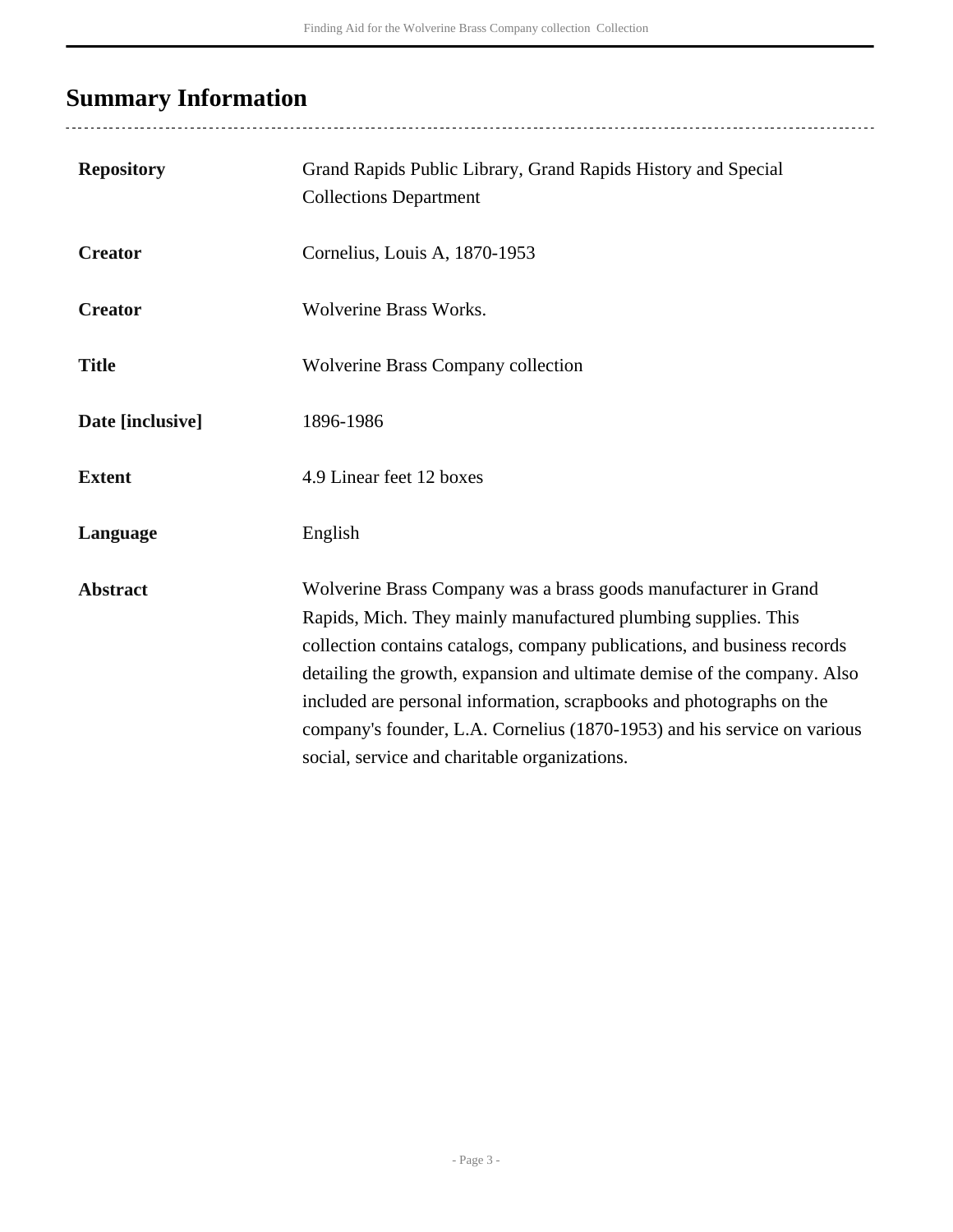# <span id="page-2-0"></span>**Summary Information**

| <b>Repository</b> | Grand Rapids Public Library, Grand Rapids History and Special<br><b>Collections Department</b>                                                                                                                                                                                                                                                                                                                                                                                                 |
|-------------------|------------------------------------------------------------------------------------------------------------------------------------------------------------------------------------------------------------------------------------------------------------------------------------------------------------------------------------------------------------------------------------------------------------------------------------------------------------------------------------------------|
| <b>Creator</b>    | Cornelius, Louis A, 1870-1953                                                                                                                                                                                                                                                                                                                                                                                                                                                                  |
| <b>Creator</b>    | <b>Wolverine Brass Works.</b>                                                                                                                                                                                                                                                                                                                                                                                                                                                                  |
| <b>Title</b>      | <b>Wolverine Brass Company collection</b>                                                                                                                                                                                                                                                                                                                                                                                                                                                      |
| Date [inclusive]  | 1896-1986                                                                                                                                                                                                                                                                                                                                                                                                                                                                                      |
| <b>Extent</b>     | 4.9 Linear feet 12 boxes                                                                                                                                                                                                                                                                                                                                                                                                                                                                       |
| Language          | English                                                                                                                                                                                                                                                                                                                                                                                                                                                                                        |
| <b>Abstract</b>   | Wolverine Brass Company was a brass goods manufacturer in Grand<br>Rapids, Mich. They mainly manufactured plumbing supplies. This<br>collection contains catalogs, company publications, and business records<br>detailing the growth, expansion and ultimate demise of the company. Also<br>included are personal information, scrapbooks and photographs on the<br>company's founder, L.A. Cornelius (1870-1953) and his service on various<br>social, service and charitable organizations. |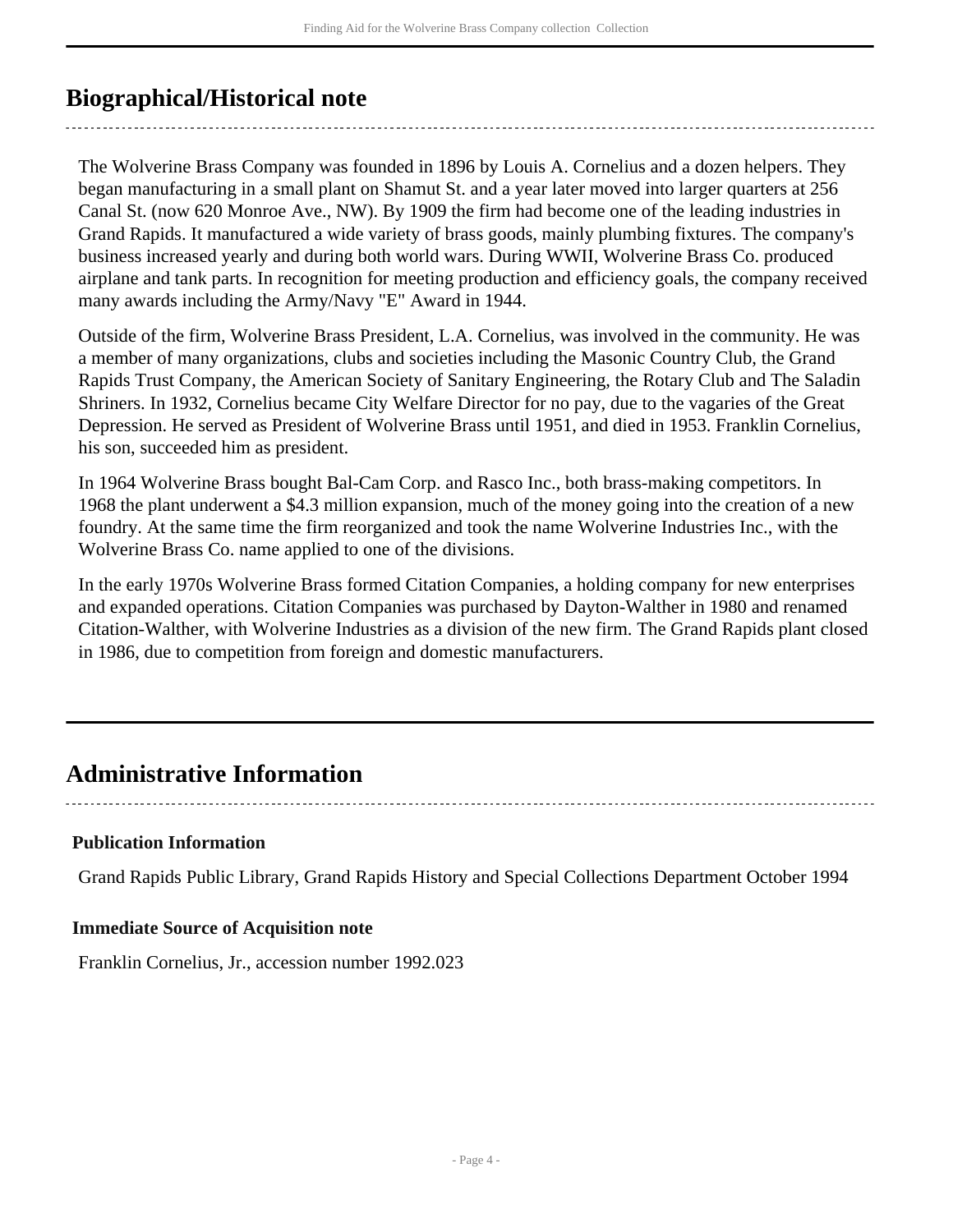# <span id="page-3-0"></span>**Biographical/Historical note**

The Wolverine Brass Company was founded in 1896 by Louis A. Cornelius and a dozen helpers. They began manufacturing in a small plant on Shamut St. and a year later moved into larger quarters at 256 Canal St. (now 620 Monroe Ave., NW). By 1909 the firm had become one of the leading industries in Grand Rapids. It manufactured a wide variety of brass goods, mainly plumbing fixtures. The company's business increased yearly and during both world wars. During WWII, Wolverine Brass Co. produced airplane and tank parts. In recognition for meeting production and efficiency goals, the company received many awards including the Army/Navy "E" Award in 1944.

Outside of the firm, Wolverine Brass President, L.A. Cornelius, was involved in the community. He was a member of many organizations, clubs and societies including the Masonic Country Club, the Grand Rapids Trust Company, the American Society of Sanitary Engineering, the Rotary Club and The Saladin Shriners. In 1932, Cornelius became City Welfare Director for no pay, due to the vagaries of the Great Depression. He served as President of Wolverine Brass until 1951, and died in 1953. Franklin Cornelius, his son, succeeded him as president.

In 1964 Wolverine Brass bought Bal-Cam Corp. and Rasco Inc., both brass-making competitors. In 1968 the plant underwent a \$4.3 million expansion, much of the money going into the creation of a new foundry. At the same time the firm reorganized and took the name Wolverine Industries Inc., with the Wolverine Brass Co. name applied to one of the divisions.

In the early 1970s Wolverine Brass formed Citation Companies, a holding company for new enterprises and expanded operations. Citation Companies was purchased by Dayton-Walther in 1980 and renamed Citation-Walther, with Wolverine Industries as a division of the new firm. The Grand Rapids plant closed in 1986, due to competition from foreign and domestic manufacturers.

## <span id="page-3-1"></span>**Administrative Information**

### **Publication Information**

Grand Rapids Public Library, Grand Rapids History and Special Collections Department October 1994

### **Immediate Source of Acquisition note**

Franklin Cornelius, Jr., accession number 1992.023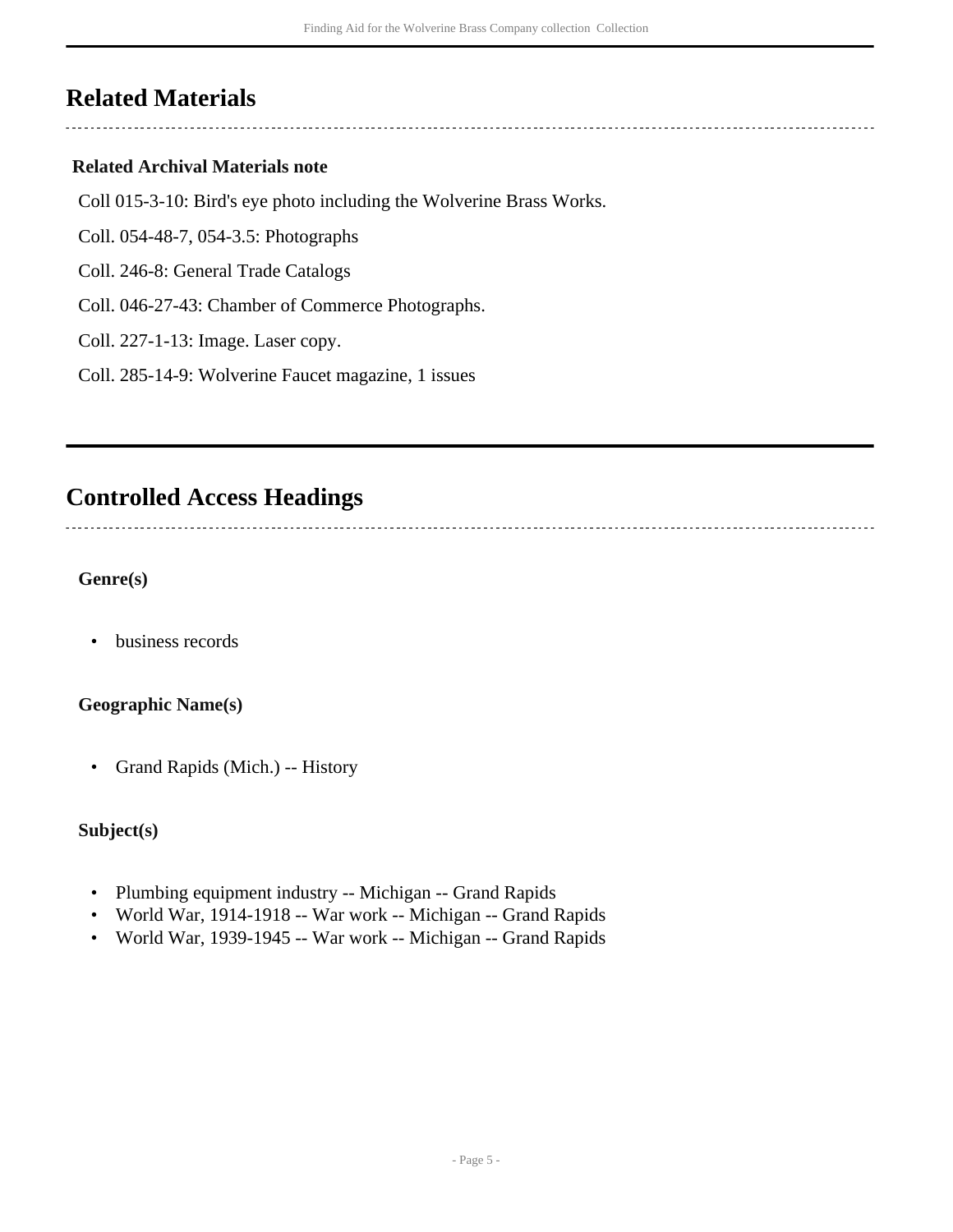## <span id="page-4-0"></span>**Related Materials**

### **Related Archival Materials note**

- Coll 015-3-10: Bird's eye photo including the Wolverine Brass Works.
- Coll. 054-48-7, 054-3.5: Photographs
- Coll. 246-8: General Trade Catalogs
- Coll. 046-27-43: Chamber of Commerce Photographs.
- Coll. 227-1-13: Image. Laser copy.
- Coll. 285-14-9: Wolverine Faucet magazine, 1 issues

## <span id="page-4-1"></span>**Controlled Access Headings**

**Genre(s)**

• business records

### **Geographic Name(s)**

• Grand Rapids (Mich.) -- History

#### **Subject(s)**

- Plumbing equipment industry -- Michigan -- Grand Rapids
- World War, 1914-1918 -- War work -- Michigan -- Grand Rapids
- World War, 1939-1945 -- War work -- Michigan -- Grand Rapids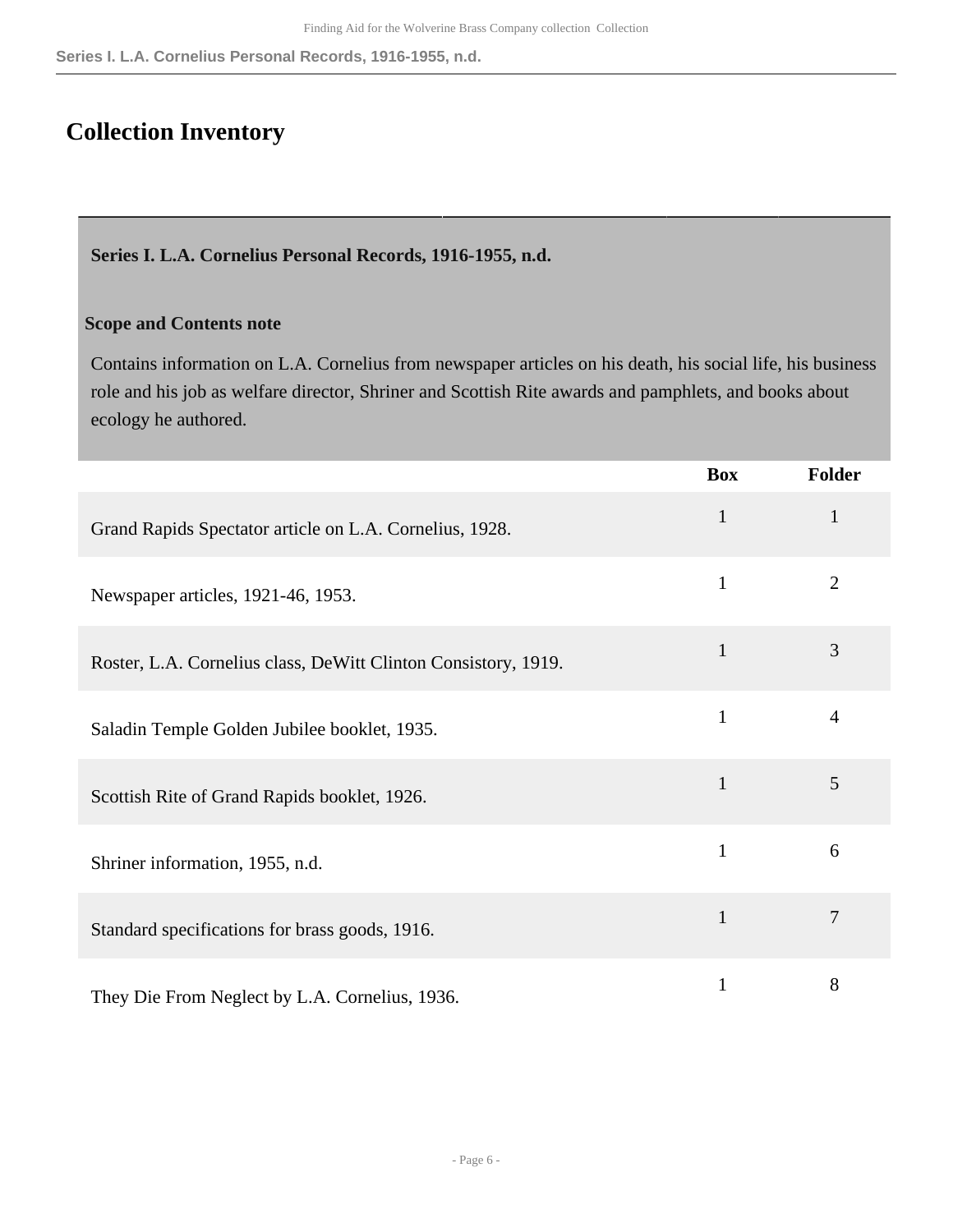# <span id="page-5-0"></span>**Collection Inventory**

#### <span id="page-5-1"></span>**Series I. L.A. Cornelius Personal Records, 1916-1955, n.d.**

#### **Scope and Contents note**

Contains information on L.A. Cornelius from newspaper articles on his death, his social life, his business role and his job as welfare director, Shriner and Scottish Rite awards and pamphlets, and books about ecology he authored.

|                                                                | <b>Box</b>   | <b>Folder</b>  |
|----------------------------------------------------------------|--------------|----------------|
| Grand Rapids Spectator article on L.A. Cornelius, 1928.        | $\mathbf{1}$ | $\mathbf{1}$   |
| Newspaper articles, 1921-46, 1953.                             | $\mathbf{1}$ | $\overline{2}$ |
| Roster, L.A. Cornelius class, DeWitt Clinton Consistory, 1919. | $\mathbf{1}$ | 3              |
| Saladin Temple Golden Jubilee booklet, 1935.                   | $\mathbf{1}$ | $\overline{4}$ |
| Scottish Rite of Grand Rapids booklet, 1926.                   | $\mathbf{1}$ | 5              |
| Shriner information, 1955, n.d.                                | $\mathbf{1}$ | 6              |
| Standard specifications for brass goods, 1916.                 | $\mathbf{1}$ | 7              |
| They Die From Neglect by L.A. Cornelius, 1936.                 | $\mathbf{1}$ | 8              |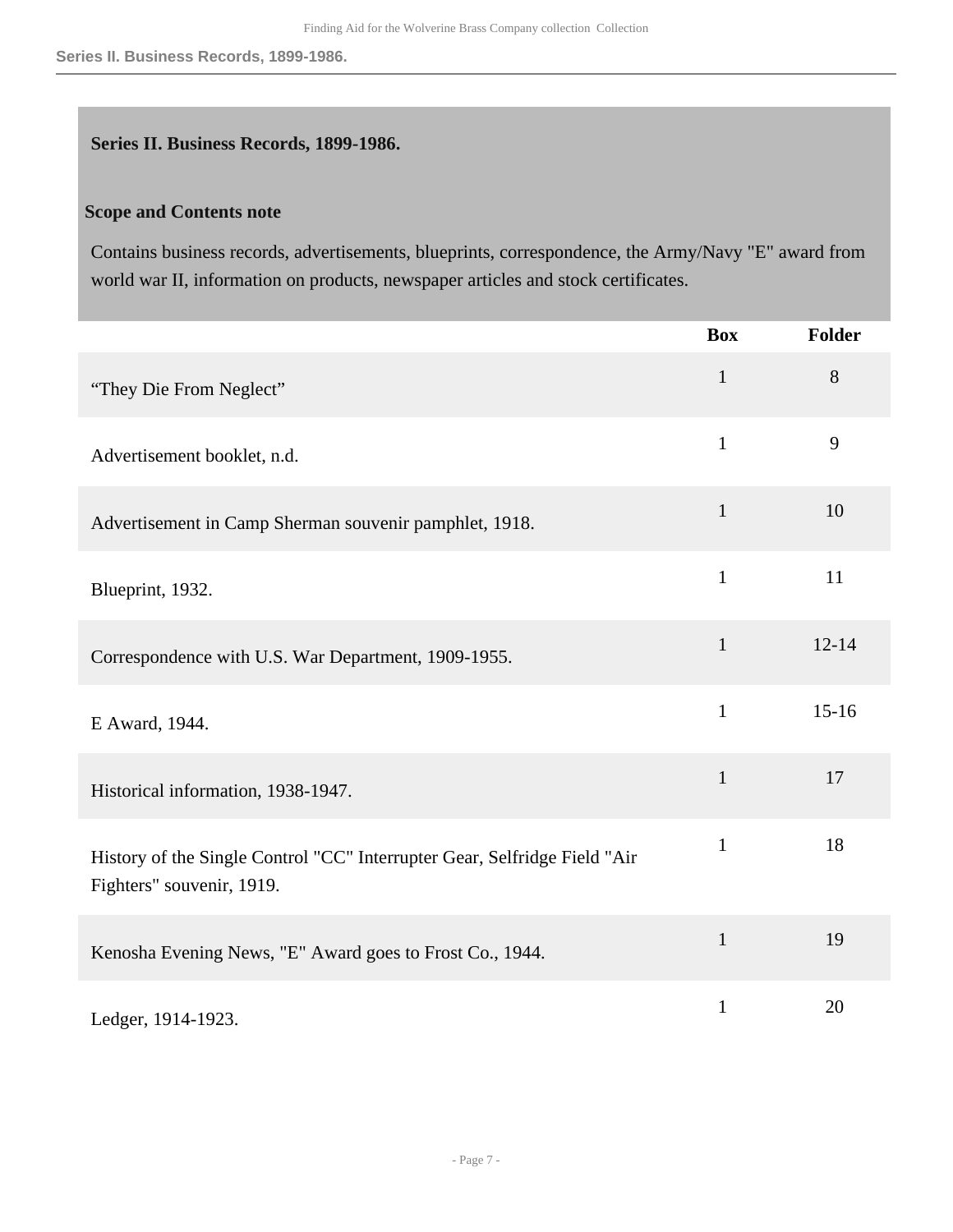#### <span id="page-6-0"></span>**Series II. Business Records, 1899-1986.**

#### **Scope and Contents note**

Contains business records, advertisements, blueprints, correspondence, the Army/Navy "E" award from world war II, information on products, newspaper articles and stock certificates.

|                                                                                                        | <b>Box</b>   | <b>Folder</b> |
|--------------------------------------------------------------------------------------------------------|--------------|---------------|
| "They Die From Neglect"                                                                                | $\mathbf{1}$ | 8             |
| Advertisement booklet, n.d.                                                                            | $\mathbf{1}$ | 9             |
| Advertisement in Camp Sherman souvenir pamphlet, 1918.                                                 | $\mathbf{1}$ | 10            |
| Blueprint, 1932.                                                                                       | $\mathbf{1}$ | 11            |
| Correspondence with U.S. War Department, 1909-1955.                                                    | $\mathbf{1}$ | $12 - 14$     |
| E Award, 1944.                                                                                         | $\mathbf{1}$ | $15-16$       |
| Historical information, 1938-1947.                                                                     | $\mathbf{1}$ | 17            |
| History of the Single Control "CC" Interrupter Gear, Selfridge Field "Air<br>Fighters" souvenir, 1919. | $\mathbf{1}$ | 18            |
| Kenosha Evening News, "E" Award goes to Frost Co., 1944.                                               | $\mathbf{1}$ | 19            |
| Ledger, 1914-1923.                                                                                     | $\mathbf{1}$ | 20            |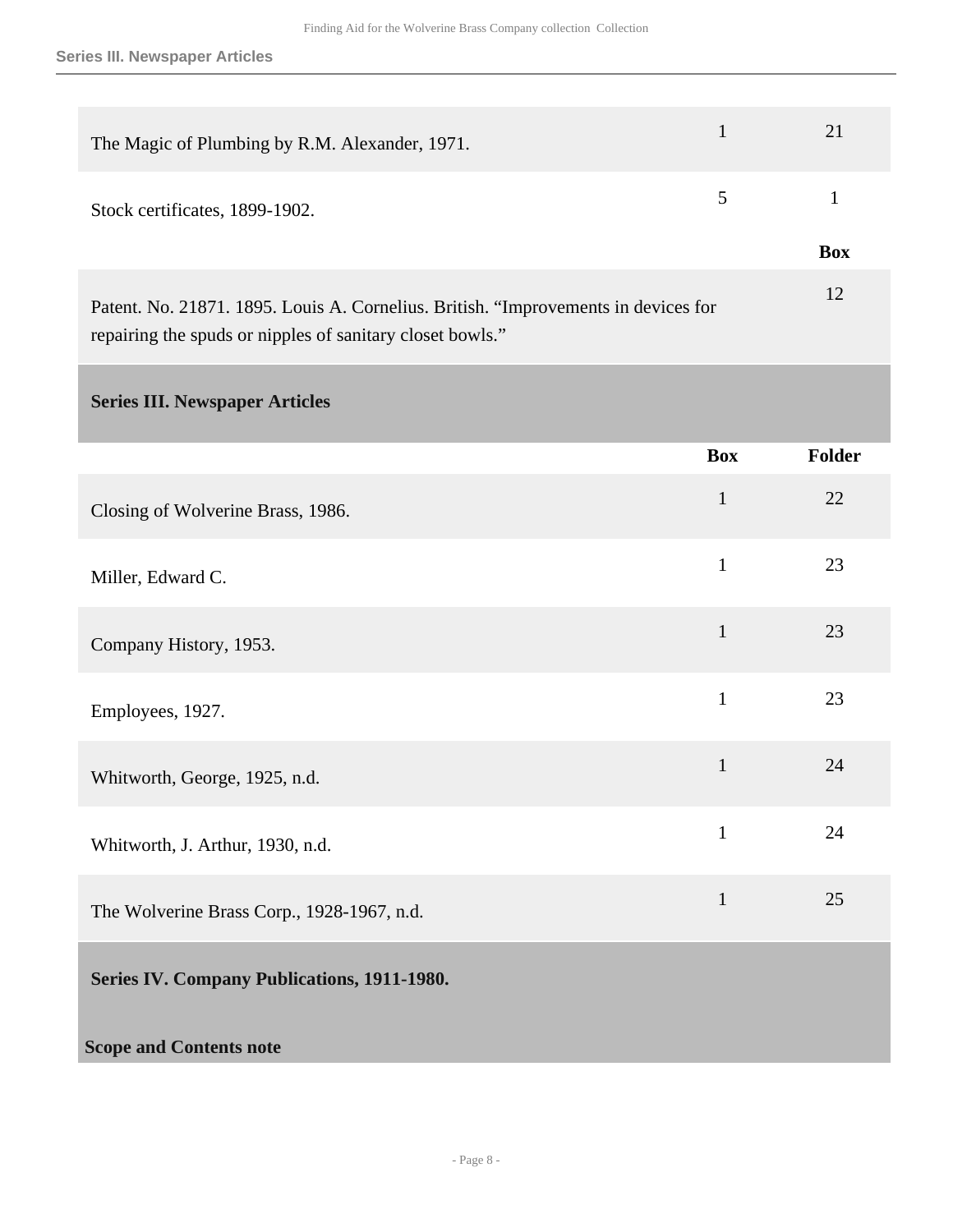<span id="page-7-1"></span><span id="page-7-0"></span>

| The Magic of Plumbing by R.M. Alexander, 1971.                                                                                                  | $\mathbf{1}$   | 21           |
|-------------------------------------------------------------------------------------------------------------------------------------------------|----------------|--------------|
| Stock certificates, 1899-1902.                                                                                                                  | $\mathfrak{S}$ | $\mathbf{1}$ |
|                                                                                                                                                 |                | <b>Box</b>   |
| Patent. No. 21871. 1895. Louis A. Cornelius. British. "Improvements in devices for<br>repairing the spuds or nipples of sanitary closet bowls." |                | 12           |
| <b>Series III. Newspaper Articles</b>                                                                                                           |                |              |
|                                                                                                                                                 | <b>Box</b>     | Folder       |
| Closing of Wolverine Brass, 1986.                                                                                                               | $\mathbf{1}$   | 22           |
| Miller, Edward C.                                                                                                                               | $\mathbf{1}$   | 23           |
| Company History, 1953.                                                                                                                          | $\mathbf{1}$   | 23           |
| Employees, 1927.                                                                                                                                | $\mathbf{1}$   | 23           |
| Whitworth, George, 1925, n.d.                                                                                                                   | $\mathbf{1}$   | 24           |
| Whitworth, J. Arthur, 1930, n.d.                                                                                                                | $\mathbf{1}$   | 24           |
| The Wolverine Brass Corp., 1928-1967, n.d.                                                                                                      | $\mathbf{1}$   | 25           |
| Series IV. Company Publications, 1911-1980.                                                                                                     |                |              |
| <b>Scope and Contents note</b>                                                                                                                  |                |              |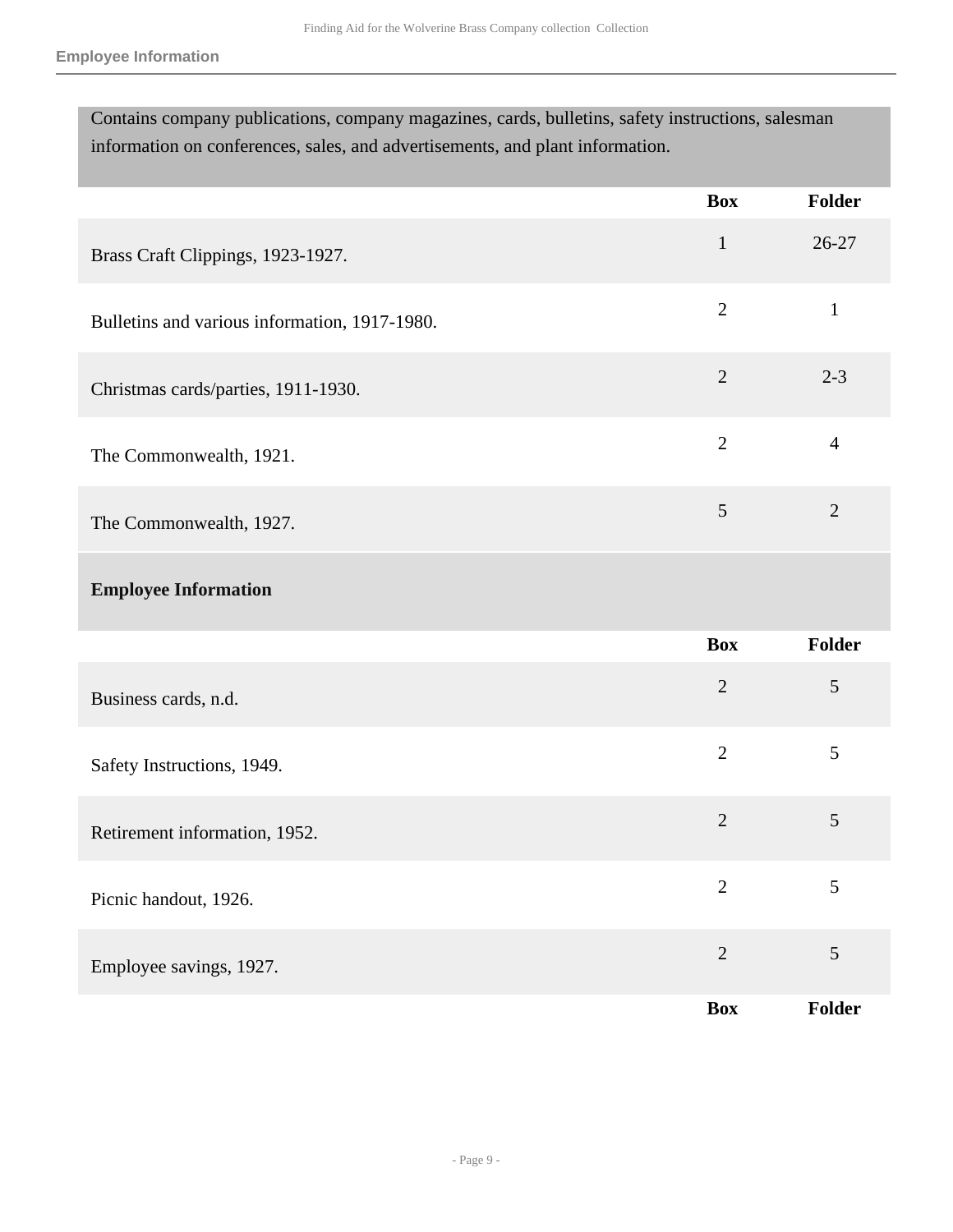| Contains company publications, company magazines, cards, bulletins, safety instructions, salesman |
|---------------------------------------------------------------------------------------------------|
| information on conferences, sales, and advertisements, and plant information.                     |

|                                               | <b>Box</b>     | <b>Folder</b>  |
|-----------------------------------------------|----------------|----------------|
| Brass Craft Clippings, 1923-1927.             | $\mathbf{1}$   | 26-27          |
| Bulletins and various information, 1917-1980. | $\overline{2}$ | $\mathbf{1}$   |
| Christmas cards/parties, 1911-1930.           | $\overline{2}$ | $2 - 3$        |
| The Commonwealth, 1921.                       | $\overline{2}$ | $\overline{4}$ |
| The Commonwealth, 1927.                       | 5              | $\overline{2}$ |
| <b>Employee Information</b>                   |                |                |
|                                               | <b>Box</b>     | <b>Folder</b>  |
| Business cards, n.d.                          | $\overline{2}$ | 5              |
| Safety Instructions, 1949.                    | $\overline{2}$ | 5              |
| Retirement information, 1952.                 | $\overline{2}$ | $\mathfrak{S}$ |
| Picnic handout, 1926.                         | $\overline{2}$ | 5              |
| Employee savings, 1927.                       | $\overline{2}$ | $\sqrt{5}$     |
|                                               | Box            | Folder         |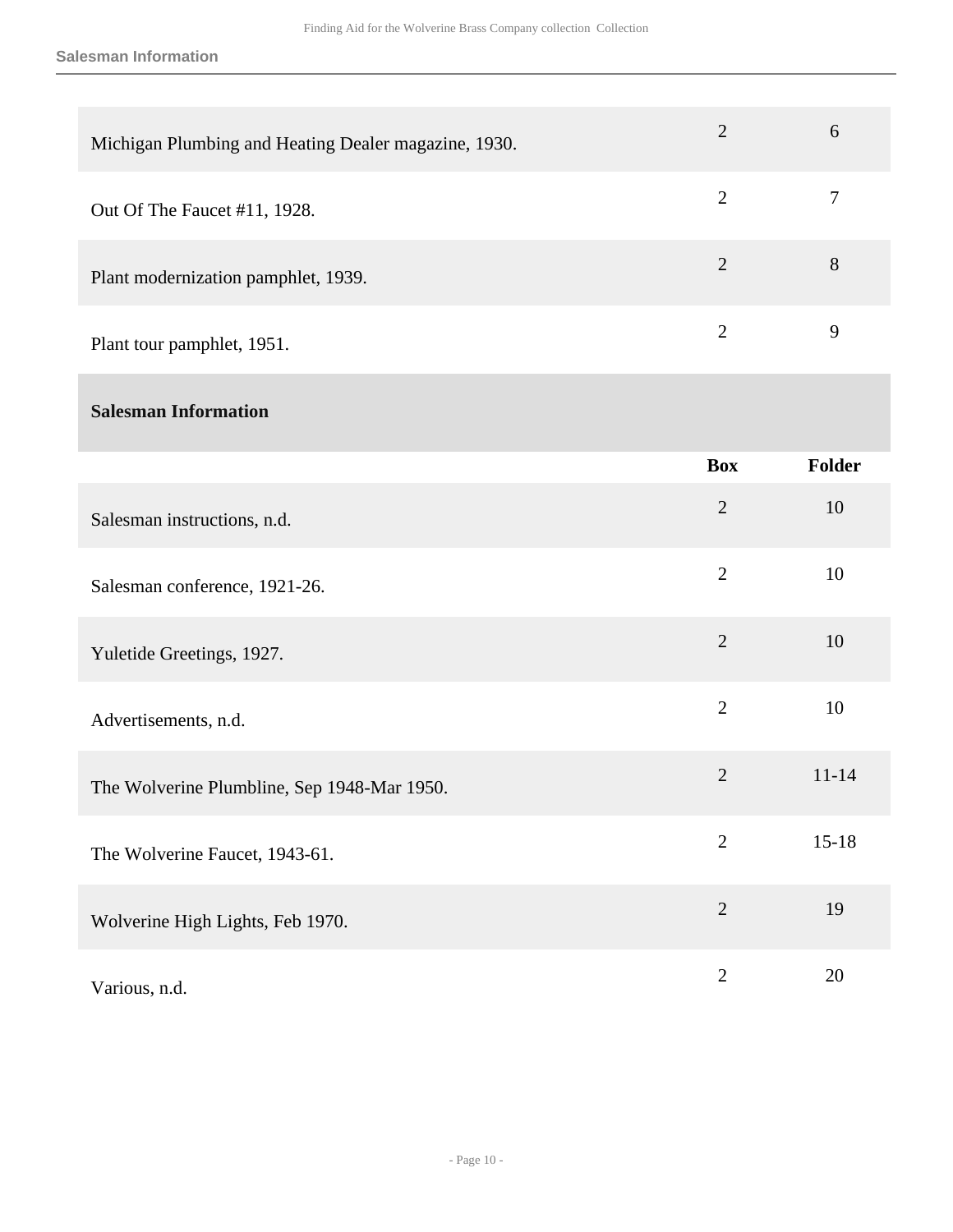**Salesman Information**

| Michigan Plumbing and Heating Dealer magazine, 1930. | $\overline{2}$ | 6              |
|------------------------------------------------------|----------------|----------------|
| Out Of The Faucet #11, 1928.                         | $\overline{2}$ | $\overline{7}$ |
| Plant modernization pamphlet, 1939.                  | $\overline{2}$ | $8\,$          |
| Plant tour pamphlet, 1951.                           | $\mathbf{2}$   | 9              |
| <b>Salesman Information</b>                          |                |                |
|                                                      | <b>Box</b>     | Folder         |
| Salesman instructions, n.d.                          | $\overline{2}$ | 10             |
| Salesman conference, 1921-26.                        | $\overline{2}$ | 10             |
| Yuletide Greetings, 1927.                            | $\overline{2}$ | 10             |
| Advertisements, n.d.                                 | $\overline{2}$ | 10             |
| The Wolverine Plumbline, Sep 1948-Mar 1950.          | $\overline{2}$ | $11 - 14$      |
| The Wolverine Faucet, 1943-61.                       | $\overline{2}$ | $15 - 18$      |
| Wolverine High Lights, Feb 1970.                     | $\overline{2}$ | 19             |
| Various, n.d.                                        | $\mathbf{2}$   | 20             |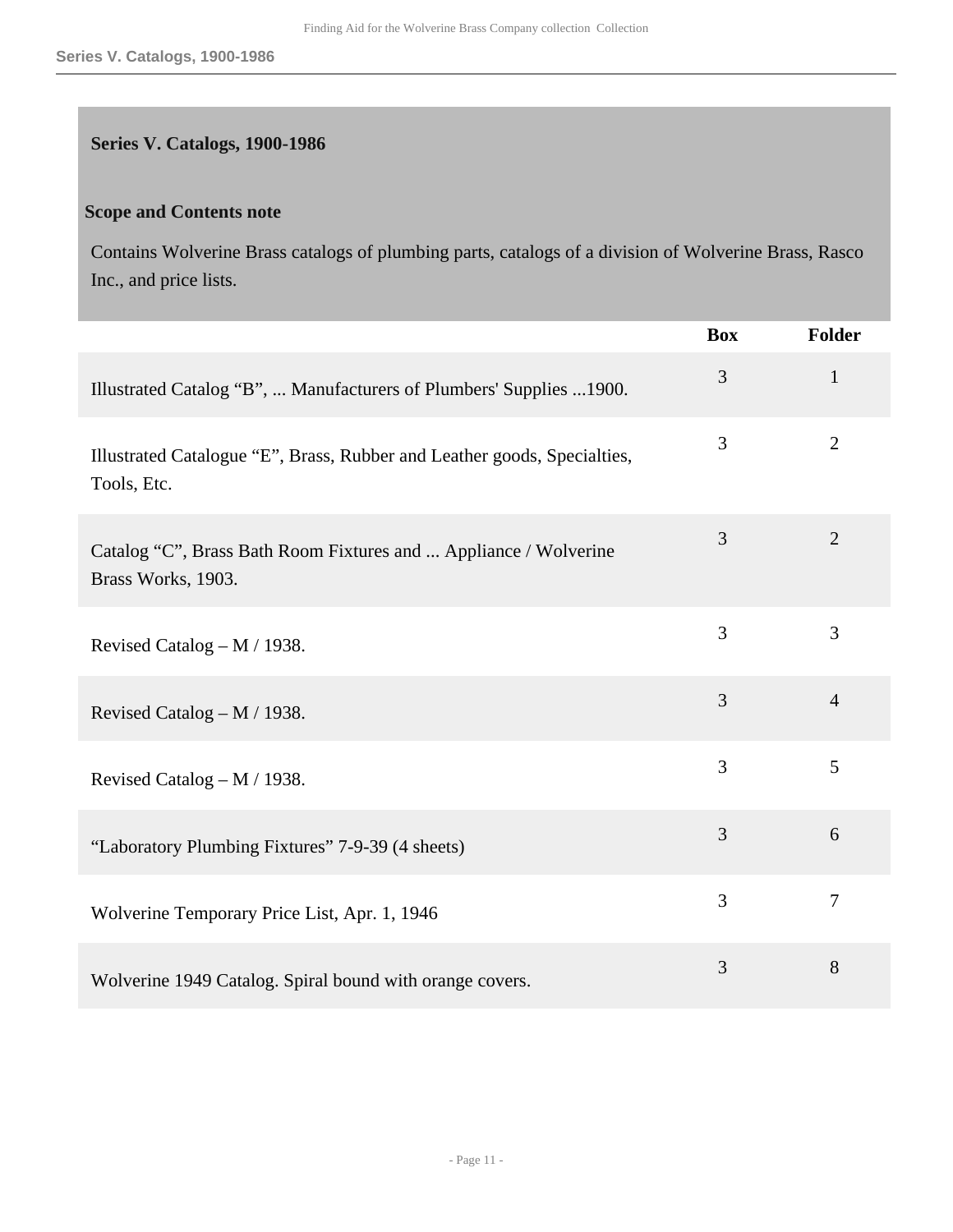### <span id="page-10-0"></span>**Series V. Catalogs, 1900-1986**

#### **Scope and Contents note**

Contains Wolverine Brass catalogs of plumbing parts, catalogs of a division of Wolverine Brass, Rasco Inc., and price lists.

|                                                                                         | <b>Box</b>     | <b>Folder</b>  |
|-----------------------------------------------------------------------------------------|----------------|----------------|
| Illustrated Catalog "B",  Manufacturers of Plumbers' Supplies  1900.                    | 3              | $\mathbf{1}$   |
| Illustrated Catalogue "E", Brass, Rubber and Leather goods, Specialties,<br>Tools, Etc. | 3              | $\overline{2}$ |
| Catalog "C", Brass Bath Room Fixtures and  Appliance / Wolverine<br>Brass Works, 1903.  | 3              | $\overline{2}$ |
| Revised Catalog – M / 1938.                                                             | 3              | 3              |
| Revised Catalog – M / 1938.                                                             | 3              | $\overline{4}$ |
| Revised Catalog – M / 1938.                                                             | 3              | 5              |
| "Laboratory Plumbing Fixtures" 7-9-39 (4 sheets)                                        | $\overline{3}$ | 6              |
| Wolverine Temporary Price List, Apr. 1, 1946                                            | 3              | $\overline{7}$ |
| Wolverine 1949 Catalog. Spiral bound with orange covers.                                | 3              | 8              |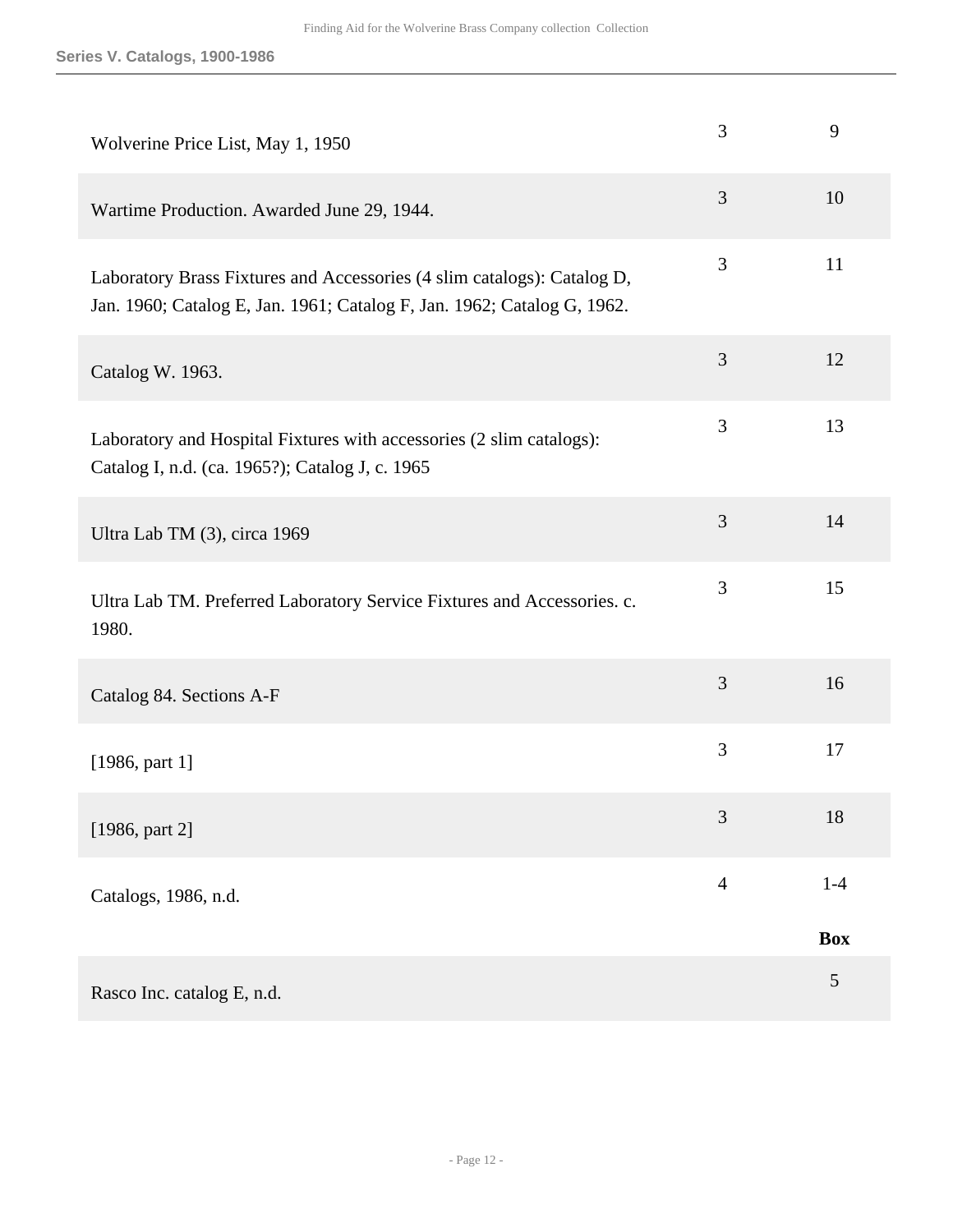| Wolverine Price List, May 1, 1950                                                                                                                  | 3              | 9              |
|----------------------------------------------------------------------------------------------------------------------------------------------------|----------------|----------------|
| Wartime Production. Awarded June 29, 1944.                                                                                                         | 3              | 10             |
| Laboratory Brass Fixtures and Accessories (4 slim catalogs): Catalog D,<br>Jan. 1960; Catalog E, Jan. 1961; Catalog F, Jan. 1962; Catalog G, 1962. | 3              | 11             |
| Catalog W. 1963.                                                                                                                                   | 3              | 12             |
| Laboratory and Hospital Fixtures with accessories (2 slim catalogs):<br>Catalog I, n.d. (ca. 1965?); Catalog J, c. 1965                            | 3              | 13             |
| Ultra Lab TM (3), circa 1969                                                                                                                       | 3              | 14             |
| Ultra Lab TM. Preferred Laboratory Service Fixtures and Accessories. c.<br>1980.                                                                   | 3              | 15             |
| Catalog 84. Sections A-F                                                                                                                           | 3              | 16             |
| [1986, part 1]                                                                                                                                     | 3              | 17             |
| [1986, part 2]                                                                                                                                     | 3              | 18             |
| Catalogs, 1986, n.d.                                                                                                                               | $\overline{4}$ | $1-4$          |
|                                                                                                                                                    |                | <b>Box</b>     |
| Rasco Inc. catalog E, n.d.                                                                                                                         |                | $\mathfrak{S}$ |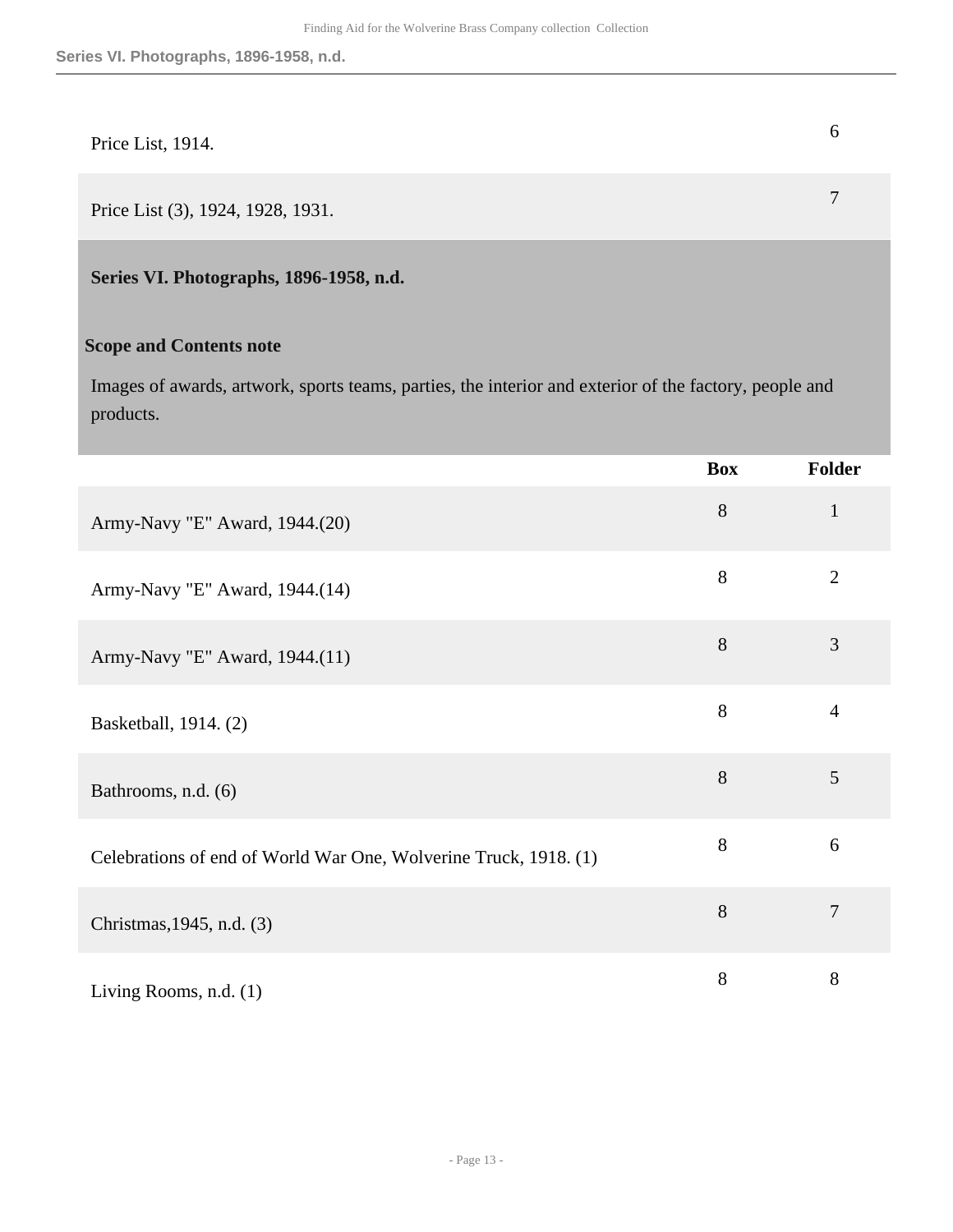# Price List, 1914.

Price List (3), 1924, 1928, 1931. **7** 

<span id="page-12-0"></span>**Series VI. Photographs, 1896-1958, n.d.** 

#### **Scope and Contents note**

Images of awards, artwork, sports teams, parties, the interior and exterior of the factory, people and products.

|                                                                  | <b>Box</b> | Folder         |
|------------------------------------------------------------------|------------|----------------|
| Army-Navy "E" Award, 1944.(20)                                   | 8          | $\mathbf{1}$   |
| Army-Navy "E" Award, 1944.(14)                                   | 8          | $\overline{2}$ |
| Army-Navy "E" Award, 1944.(11)                                   | $8\,$      | 3              |
| Basketball, 1914. (2)                                            | 8          | $\overline{4}$ |
| Bathrooms, n.d. (6)                                              | $8\,$      | 5              |
| Celebrations of end of World War One, Wolverine Truck, 1918. (1) | $8\,$      | 6              |
| Christmas, 1945, n.d. (3)                                        | 8          | $\overline{7}$ |
| Living Rooms, n.d. (1)                                           | 8          | 8              |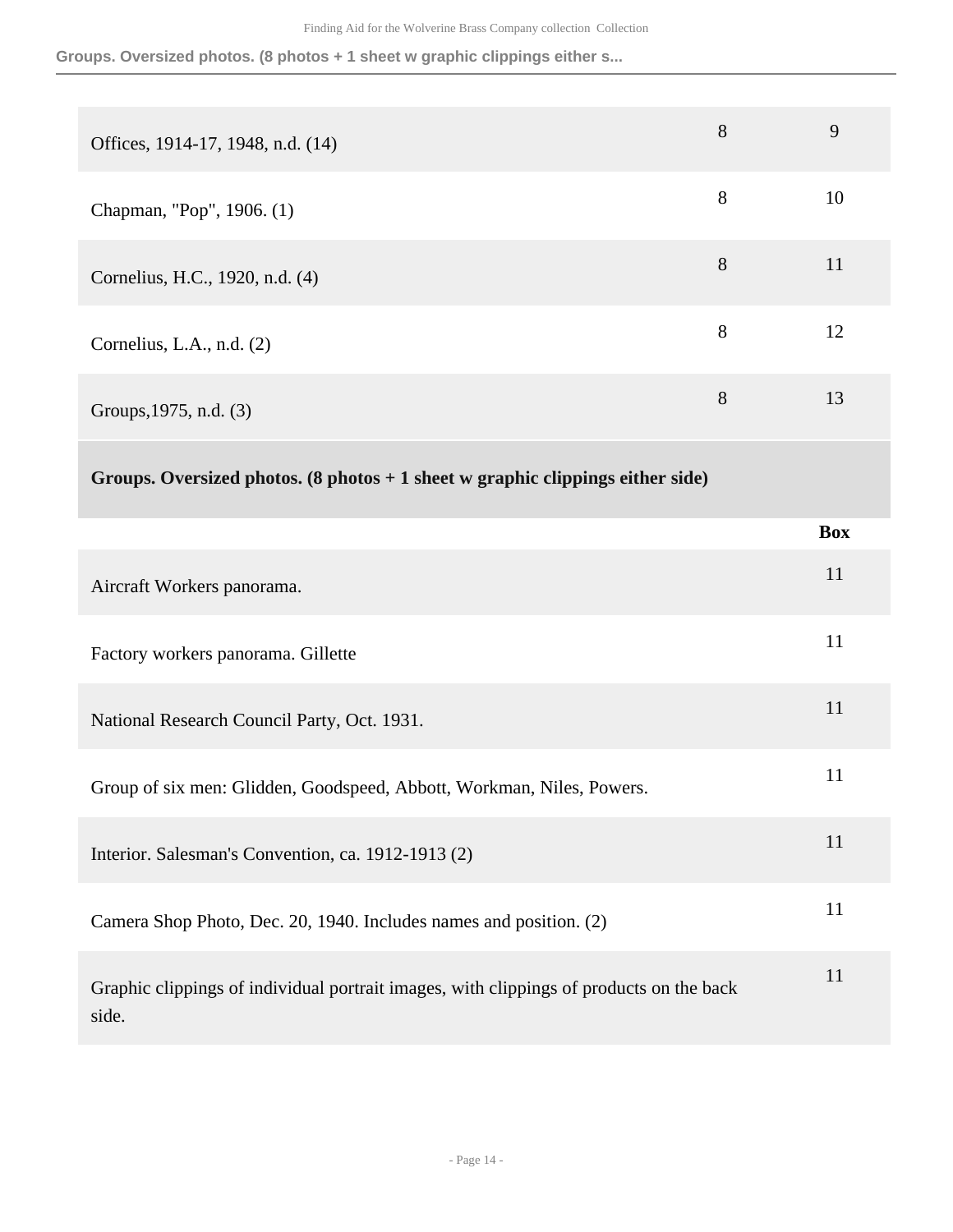**Groups. Oversized photos. (8 photos + 1 sheet w graphic clippings either s...**

| Offices, 1914-17, 1948, n.d. (14)                                                                | 8     | 9          |
|--------------------------------------------------------------------------------------------------|-------|------------|
| Chapman, "Pop", 1906. (1)                                                                        | 8     | 10         |
| Cornelius, H.C., 1920, n.d. (4)                                                                  | $8\,$ | 11         |
| Cornelius, L.A., n.d. (2)                                                                        | 8     | 12         |
| Groups, 1975, n.d. (3)                                                                           | 8     | 13         |
| Groups. Oversized photos. $(8 \text{ photos} + 1 \text{ sheet w graphic clippings either side})$ |       |            |
|                                                                                                  |       | <b>Box</b> |
| Aircraft Workers panorama.                                                                       |       | 11         |
| Factory workers panorama. Gillette                                                               |       | 11         |
| National Research Council Party, Oct. 1931.                                                      |       | 11         |
| Group of six men: Glidden, Goodspeed, Abbott, Workman, Niles, Powers.                            |       | 11         |
| Interior. Salesman's Convention, ca. 1912-1913 (2)                                               |       | 11         |
| Camera Shop Photo, Dec. 20, 1940. Includes names and position. (2)                               |       | 11         |
| Graphic clippings of individual portrait images, with clippings of products on the back<br>side. |       | 11         |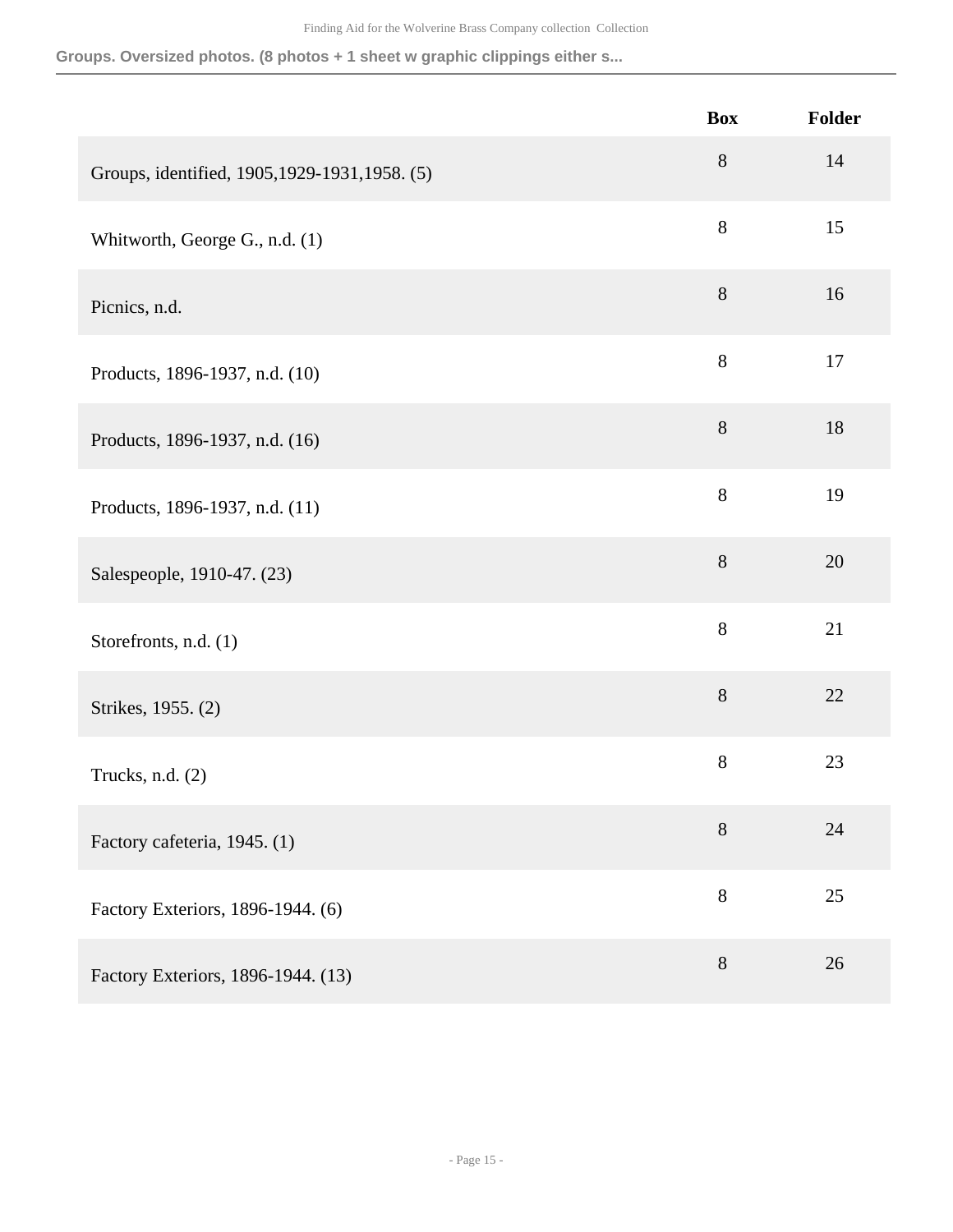**Groups. Oversized photos. (8 photos + 1 sheet w graphic clippings either s...**

|                                                | <b>Box</b> | Folder |
|------------------------------------------------|------------|--------|
| Groups, identified, 1905, 1929-1931, 1958. (5) | $8\,$      | 14     |
| Whitworth, George G., n.d. (1)                 | $8\,$      | 15     |
| Picnics, n.d.                                  | $8\,$      | 16     |
| Products, 1896-1937, n.d. (10)                 | 8          | 17     |
| Products, 1896-1937, n.d. (16)                 | $8\,$      | 18     |
| Products, 1896-1937, n.d. (11)                 | $8\,$      | 19     |
| Salespeople, 1910-47. (23)                     | $8\,$      | 20     |
| Storefronts, n.d. (1)                          | $8\,$      | 21     |
| Strikes, 1955. (2)                             | $8\,$      | 22     |
| Trucks, n.d. (2)                               | $8\,$      | 23     |
| Factory cafeteria, 1945. (1)                   | $8\,$      | 24     |
| Factory Exteriors, 1896-1944. (6)              | $8\,$      | 25     |
| Factory Exteriors, 1896-1944. (13)             | $8\,$      | 26     |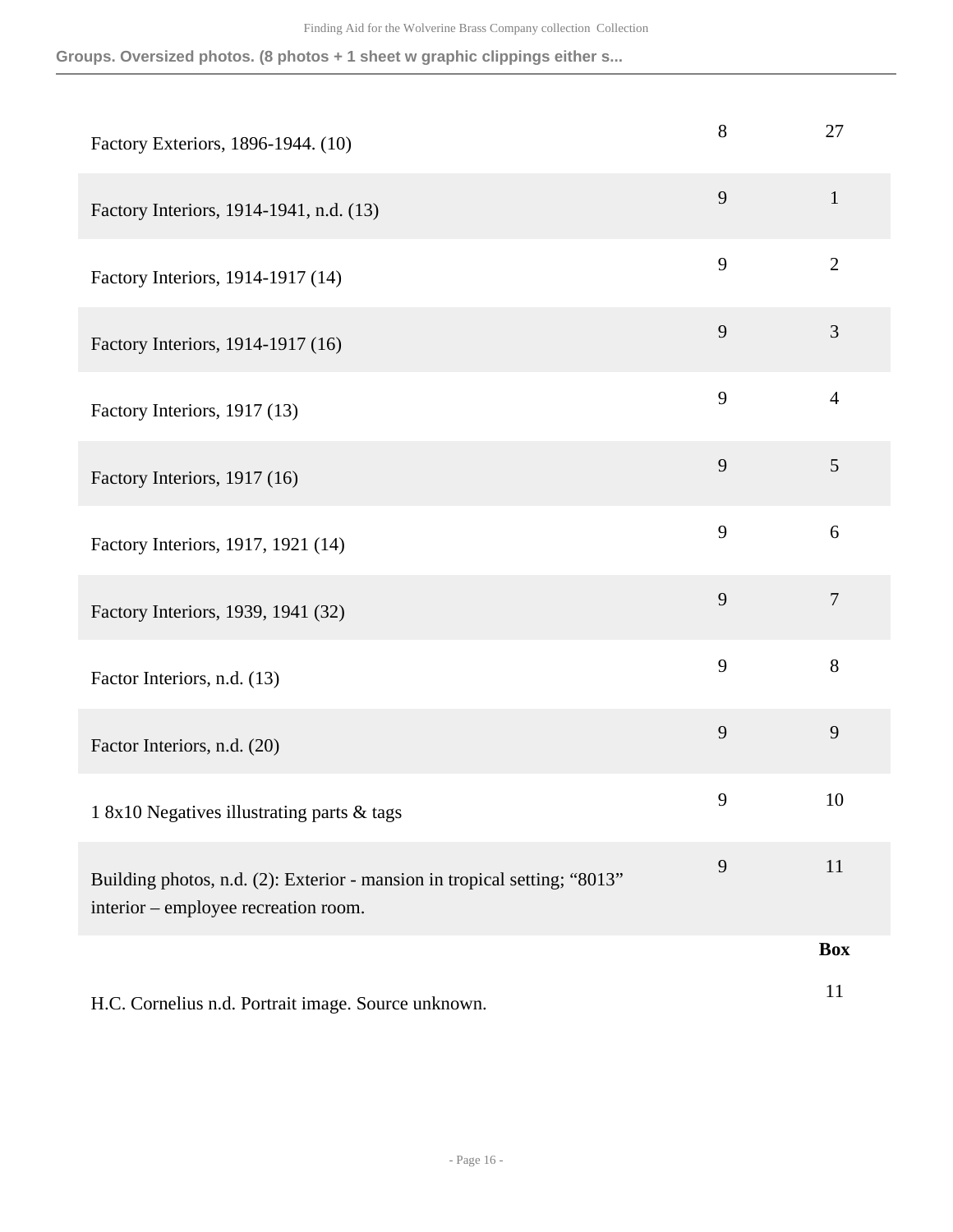**Groups. Oversized photos. (8 photos + 1 sheet w graphic clippings either s...**

| Factory Exteriors, 1896-1944. (10)                                                                                | 8 | 27             |
|-------------------------------------------------------------------------------------------------------------------|---|----------------|
| Factory Interiors, 1914-1941, n.d. (13)                                                                           | 9 | $\mathbf{1}$   |
| Factory Interiors, 1914-1917 (14)                                                                                 | 9 | $\overline{2}$ |
| Factory Interiors, 1914-1917 (16)                                                                                 | 9 | 3              |
| Factory Interiors, 1917 (13)                                                                                      | 9 | $\overline{4}$ |
| Factory Interiors, 1917 (16)                                                                                      | 9 | 5              |
| Factory Interiors, 1917, 1921 (14)                                                                                | 9 | 6              |
| Factory Interiors, 1939, 1941 (32)                                                                                | 9 | $\tau$         |
| Factor Interiors, n.d. (13)                                                                                       | 9 | $8\,$          |
| Factor Interiors, n.d. (20)                                                                                       | 9 | 9              |
| 1 8x10 Negatives illustrating parts & tags                                                                        | 9 | 10             |
| Building photos, n.d. (2): Exterior - mansion in tropical setting; "8013"<br>interior – employee recreation room. | 9 | 11             |
|                                                                                                                   |   | <b>Box</b>     |
| H.C. Cornelius n.d. Portrait image. Source unknown.                                                               |   | 11             |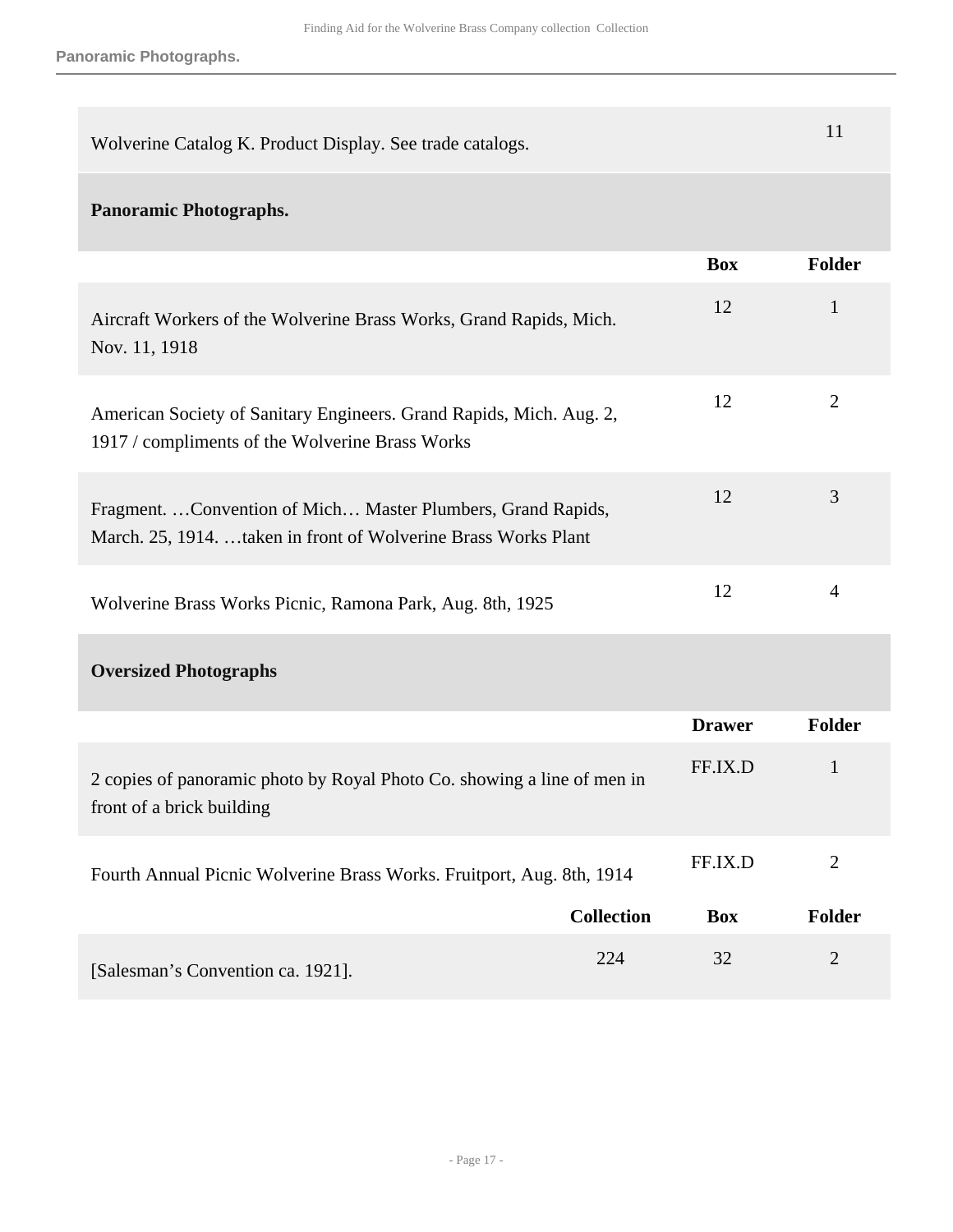**Panoramic Photographs.**

| Wolverine Catalog K. Product Display. See trade catalogs.                                                                      |               | 11             |
|--------------------------------------------------------------------------------------------------------------------------------|---------------|----------------|
| <b>Panoramic Photographs.</b>                                                                                                  |               |                |
|                                                                                                                                | <b>Box</b>    | <b>Folder</b>  |
| Aircraft Workers of the Wolverine Brass Works, Grand Rapids, Mich.<br>Nov. 11, 1918                                            | 12            | $\mathbf{1}$   |
| American Society of Sanitary Engineers. Grand Rapids, Mich. Aug. 2,<br>1917 / compliments of the Wolverine Brass Works         | 12            | $\overline{2}$ |
| Fragment.  Convention of Mich Master Plumbers, Grand Rapids,<br>March. 25, 1914. taken in front of Wolverine Brass Works Plant | 12            | 3              |
| Wolverine Brass Works Picnic, Ramona Park, Aug. 8th, 1925                                                                      | 12            | $\overline{4}$ |
| <b>Oversized Photographs</b>                                                                                                   |               |                |
|                                                                                                                                | <b>Drawer</b> | Folder         |
| 2 copies of panoramic photo by Royal Photo Co. showing a line of men in<br>front of a brick building                           | FF.IX.D       | $\mathbf{1}$   |
| Fourth Annual Picnic Wolverine Brass Works. Fruitport, Aug. 8th, 1914                                                          | FF.IX.D       | $\mathbf{2}$   |
| <b>Collection</b>                                                                                                              | <b>Box</b>    | <b>Folder</b>  |
| 224<br>[Salesman's Convention ca. 1921].                                                                                       | 32            | $\overline{2}$ |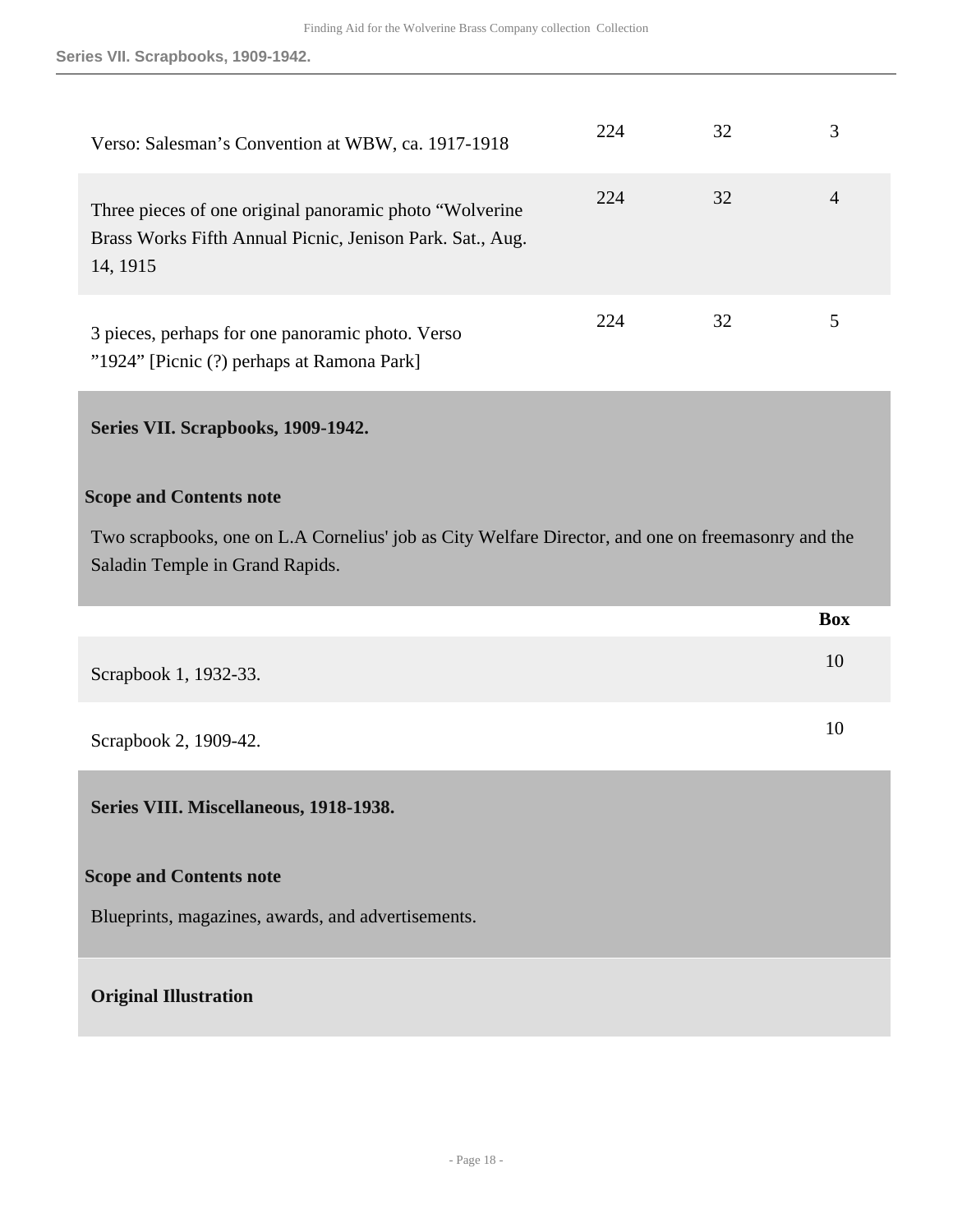<span id="page-17-1"></span><span id="page-17-0"></span>

| Verso: Salesman's Convention at WBW, ca. 1917-1918                                                                                                                      | 224 | 32 | 3              |
|-------------------------------------------------------------------------------------------------------------------------------------------------------------------------|-----|----|----------------|
| Three pieces of one original panoramic photo "Wolverine"<br>Brass Works Fifth Annual Picnic, Jenison Park. Sat., Aug.<br>14, 1915                                       | 224 | 32 | $\overline{4}$ |
| 3 pieces, perhaps for one panoramic photo. Verso<br>"1924" [Picnic (?) perhaps at Ramona Park]                                                                          | 224 | 32 | 5              |
| Series VII. Scrapbooks, 1909-1942.                                                                                                                                      |     |    |                |
| <b>Scope and Contents note</b><br>Two scrapbooks, one on L.A Cornelius' job as City Welfare Director, and one on freemasonry and the<br>Saladin Temple in Grand Rapids. |     |    |                |
|                                                                                                                                                                         |     |    |                |
|                                                                                                                                                                         |     |    | <b>Box</b>     |
| Scrapbook 1, 1932-33.                                                                                                                                                   |     |    | 10             |
| Scrapbook 2, 1909-42.                                                                                                                                                   |     |    | 10             |
| Series VIII. Miscellaneous, 1918-1938.                                                                                                                                  |     |    |                |
| <b>Scope and Contents note</b>                                                                                                                                          |     |    |                |
| Blueprints, magazines, awards, and advertisements.                                                                                                                      |     |    |                |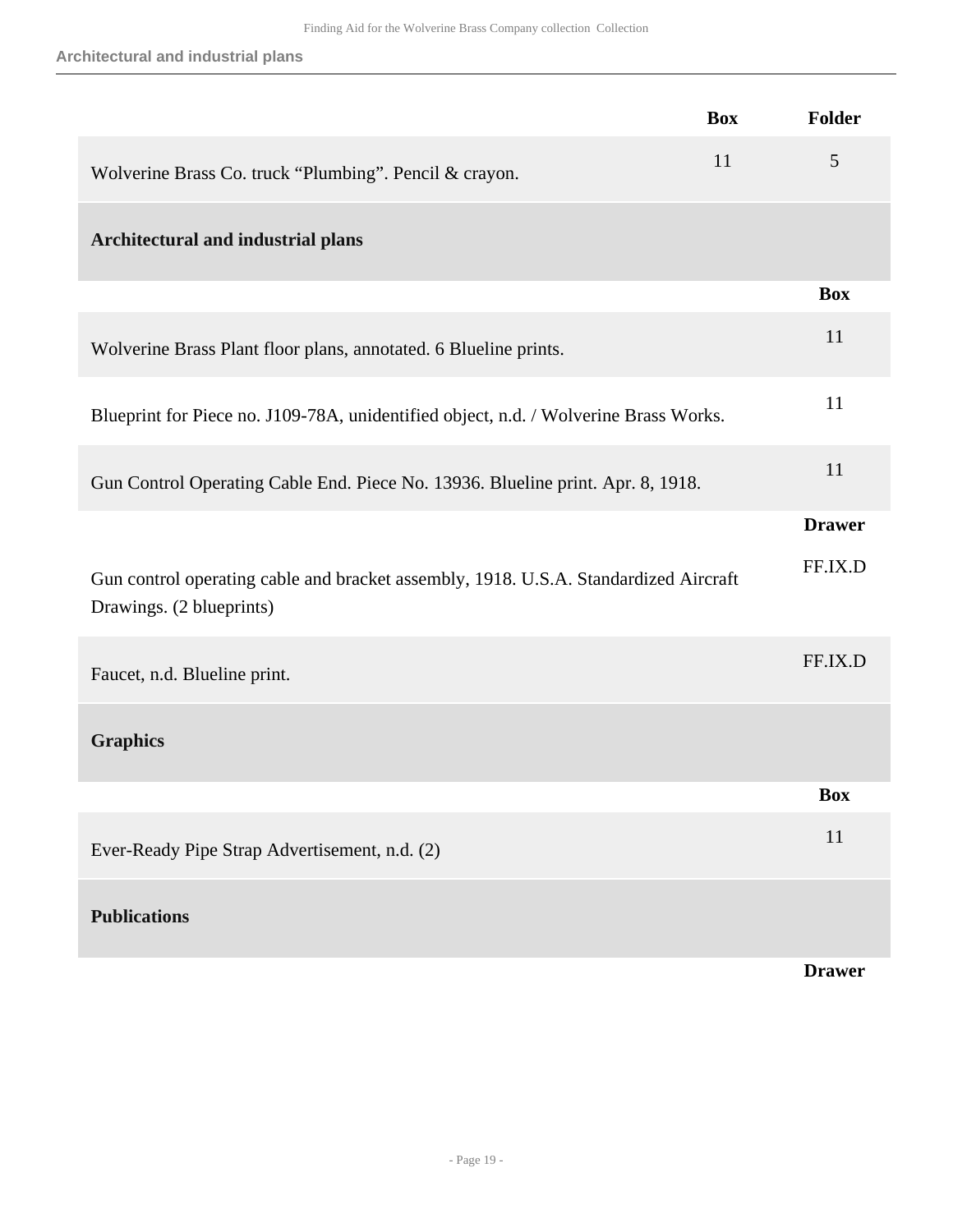**Architectural and industrial plans**

|                                                                                                                  | <b>Box</b> | Folder        |
|------------------------------------------------------------------------------------------------------------------|------------|---------------|
| Wolverine Brass Co. truck "Plumbing". Pencil & crayon.                                                           | 11         | 5             |
| Architectural and industrial plans                                                                               |            |               |
|                                                                                                                  |            | <b>Box</b>    |
| Wolverine Brass Plant floor plans, annotated. 6 Blueline prints.                                                 |            | 11            |
| Blueprint for Piece no. J109-78A, unidentified object, n.d. / Wolverine Brass Works.                             |            | 11            |
| Gun Control Operating Cable End. Piece No. 13936. Blueline print. Apr. 8, 1918.                                  |            | 11            |
|                                                                                                                  |            | <b>Drawer</b> |
| Gun control operating cable and bracket assembly, 1918. U.S.A. Standardized Aircraft<br>Drawings. (2 blueprints) |            | FF.IX.D       |
| Faucet, n.d. Blueline print.                                                                                     |            | FF.IX.D       |
| <b>Graphics</b>                                                                                                  |            |               |
|                                                                                                                  |            | <b>Box</b>    |
| Ever-Ready Pipe Strap Advertisement, n.d. (2)                                                                    |            | 11            |
| <b>Publications</b>                                                                                              |            |               |
|                                                                                                                  |            | <b>Drawer</b> |